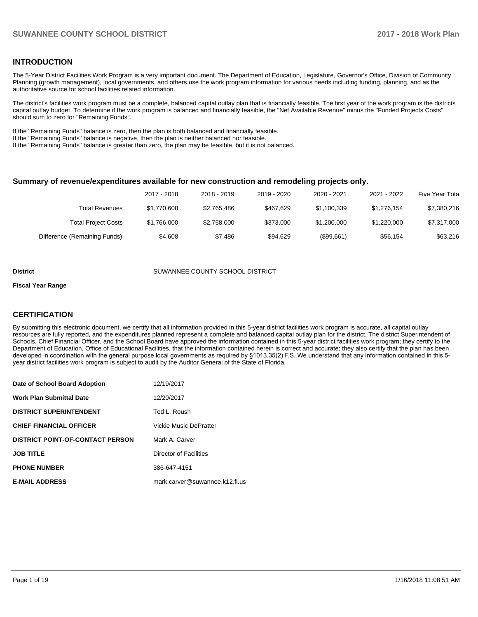## **INTRODUCTION**

The 5-Year District Facilities Work Program is a very important document. The Department of Education, Legislature, Governor's Office, Division of Community Planning (growth management), local governments, and others use the work program information for various needs including funding, planning, and as the authoritative source for school facilities related information.

The district's facilities work program must be a complete, balanced capital outlay plan that is financially feasible. The first year of the work program is the districts capital outlay budget. To determine if the work program is balanced and financially feasible, the "Net Available Revenue" minus the "Funded Projects Costs" should sum to zero for "Remaining Funds".

If the "Remaining Funds" balance is zero, then the plan is both balanced and financially feasible.

If the "Remaining Funds" balance is negative, then the plan is neither balanced nor feasible.

If the "Remaining Funds" balance is greater than zero, the plan may be feasible, but it is not balanced.

### **Summary of revenue/expenditures available for new construction and remodeling projects only.**

|                              | 2017 - 2018 | 2018 - 2019 | 2019 - 2020 | 2020 - 2021 | 2021 - 2022 | Five Year Tota |
|------------------------------|-------------|-------------|-------------|-------------|-------------|----------------|
| Total Revenues               | \$1,770,608 | \$2,765,486 | \$467.629   | \$1,100,339 | \$1.276.154 | \$7,380,216    |
| <b>Total Project Costs</b>   | \$1.766.000 | \$2,758,000 | \$373,000   | \$1,200,000 | \$1,220,000 | \$7,317,000    |
| Difference (Remaining Funds) | \$4.608     | \$7.486     | \$94.629    | (\$99,661)  | \$56.154    | \$63,216       |

#### **District COUNTY SUMANNEE COUNTY SCHOOL DISTRICT**

#### **Fiscal Year Range**

## **CERTIFICATION**

By submitting this electronic document, we certify that all information provided in this 5-year district facilities work program is accurate, all capital outlay resources are fully reported, and the expenditures planned represent a complete and balanced capital outlay plan for the district. The district Superintendent of Schools, Chief Financial Officer, and the School Board have approved the information contained in this 5-year district facilities work program; they certify to the Department of Education, Office of Educational Facilities, that the information contained herein is correct and accurate; they also certify that the plan has been developed in coordination with the general purpose local governments as required by §1013.35(2) F.S. We understand that any information contained in this 5year district facilities work program is subject to audit by the Auditor General of the State of Florida.

| Date of School Board Adoption           | 12/19/2017                     |
|-----------------------------------------|--------------------------------|
| <b>Work Plan Submittal Date</b>         | 12/20/2017                     |
| <b>DISTRICT SUPERINTENDENT</b>          | Ted L. Roush                   |
| <b>CHIEF FINANCIAL OFFICER</b>          | <b>Vickie Music DePratter</b>  |
| <b>DISTRICT POINT-OF-CONTACT PERSON</b> | Mark A. Carver                 |
| <b>JOB TITLE</b>                        | Director of Facilities         |
| <b>PHONE NUMBER</b>                     | 386-647-4151                   |
| <b>E-MAIL ADDRESS</b>                   | mark.carver@suwannee.k12.fl.us |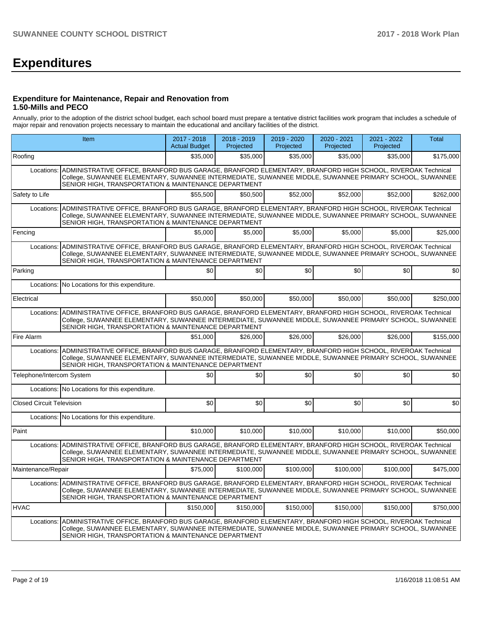# **Expenditures**

### **Expenditure for Maintenance, Repair and Renovation from 1.50-Mills and PECO**

Annually, prior to the adoption of the district school budget, each school board must prepare a tentative district facilities work program that includes a schedule of major repair and renovation projects necessary to maintain the educational and ancillary facilities of the district.

|                                  | Item                                                                                                                                                                                                                                                                                    | 2017 - 2018<br><b>Actual Budget</b> | 2018 - 2019<br>Projected | 2019 - 2020<br>Projected | 2020 - 2021<br>Projected | 2021 - 2022<br>Projected | Total     |
|----------------------------------|-----------------------------------------------------------------------------------------------------------------------------------------------------------------------------------------------------------------------------------------------------------------------------------------|-------------------------------------|--------------------------|--------------------------|--------------------------|--------------------------|-----------|
| Roofing                          |                                                                                                                                                                                                                                                                                         | \$35,000                            | \$35,000                 | \$35,000                 | \$35.000                 | \$35,000                 | \$175,000 |
|                                  | Locations: ADMINISTRATIVE OFFICE, BRANFORD BUS GARAGE, BRANFORD ELEMENTARY, BRANFORD HIGH SCHOOL, RIVEROAK Technical<br>College, SUWANNEE ELEMENTARY, SUWANNEE INTERMEDIATE, SUWANNEE MIDDLE, SUWANNEE PRIMARY SCHOOL, SUWANNEE<br>SENIOR HIGH, TRANSPORTATION & MAINTENANCE DEPARTMENT |                                     |                          |                          |                          |                          |           |
| Safety to Life                   |                                                                                                                                                                                                                                                                                         | \$55,500                            | \$50.500                 | \$52,000                 | \$52,000                 | \$52,000                 | \$262,000 |
| Locations:                       | ADMINISTRATIVE OFFICE, BRANFORD BUS GARAGE, BRANFORD ELEMENTARY, BRANFORD HIGH SCHOOL, RIVEROAK Technical<br>College, SUWANNEE ELEMENTARY, SUWANNEE INTERMEDIATE, SUWANNEE MIDDLE, SUWANNEE PRIMARY SCHOOL, SUWANNEE<br>SENIOR HIGH, TRANSPORTATION & MAINTENANCE DEPARTMENT            |                                     |                          |                          |                          |                          |           |
| Fencing                          |                                                                                                                                                                                                                                                                                         | \$5,000                             | \$5.000                  | \$5,000                  | \$5,000                  | \$5,000                  | \$25,000  |
| Locations:                       | ADMINISTRATIVE OFFICE, BRANFORD BUS GARAGE, BRANFORD ELEMENTARY, BRANFORD HIGH SCHOOL, RIVEROAK Technical<br>College, SUWANNEE ELEMENTARY, SUWANNEE INTERMEDIATE, SUWANNEE MIDDLE, SUWANNEE PRIMARY SCHOOL, SUWANNEE<br>SENIOR HIGH, TRANSPORTATION & MAINTENANCE DEPARTMENT            |                                     |                          |                          |                          |                          |           |
| Parking                          |                                                                                                                                                                                                                                                                                         | \$0                                 | \$0                      | \$0                      | \$0                      | \$0                      | \$0       |
|                                  | Locations: No Locations for this expenditure.                                                                                                                                                                                                                                           |                                     |                          |                          |                          |                          |           |
| Electrical                       |                                                                                                                                                                                                                                                                                         | \$50,000                            | \$50,000                 | \$50,000                 | \$50,000                 | \$50,000                 | \$250,000 |
| Locations:                       | ADMINISTRATIVE OFFICE, BRANFORD BUS GARAGE, BRANFORD ELEMENTARY, BRANFORD HIGH SCHOOL, RIVEROAK Technical<br>College, SUWANNEE ELEMENTARY, SUWANNEE INTERMEDIATE, SUWANNEE MIDDLE, SUWANNEE PRIMARY SCHOOL, SUWANNEE<br>SENIOR HIGH, TRANSPORTATION & MAINTENANCE DEPARTMENT            |                                     |                          |                          |                          |                          |           |
| Fire Alarm                       |                                                                                                                                                                                                                                                                                         | \$51,000                            | \$26,000                 | \$26,000                 | \$26,000                 | \$26,000                 | \$155,000 |
| Locations:                       | ADMINISTRATIVE OFFICE, BRANFORD BUS GARAGE, BRANFORD ELEMENTARY, BRANFORD HIGH SCHOOL, RIVEROAK Technical<br>College, SUWANNEE ELEMENTARY, SUWANNEE INTERMEDIATE, SUWANNEE MIDDLE, SUWANNEE PRIMARY SCHOOL, SUWANNEE<br>SENIOR HIGH, TRANSPORTATION & MAINTENANCE DEPARTMENT            |                                     |                          |                          |                          |                          |           |
| Telephone/Intercom System        |                                                                                                                                                                                                                                                                                         | \$0                                 | \$0                      | \$0                      | \$0                      | \$0                      | \$0       |
|                                  | Locations: No Locations for this expenditure.                                                                                                                                                                                                                                           |                                     |                          |                          |                          |                          |           |
| <b>Closed Circuit Television</b> |                                                                                                                                                                                                                                                                                         | \$0                                 | \$0                      | \$0                      | \$0                      | \$0                      | \$0       |
|                                  | Locations: No Locations for this expenditure.                                                                                                                                                                                                                                           |                                     |                          |                          |                          |                          |           |
| l Paint                          |                                                                                                                                                                                                                                                                                         | \$10,000                            | \$10,000                 | \$10,000                 | \$10,000                 | \$10,000                 | \$50,000  |
| Locations:                       | ADMINISTRATIVE OFFICE, BRANFORD BUS GARAGE, BRANFORD ELEMENTARY, BRANFORD HIGH SCHOOL, RIVEROAK Technical<br>College, SUWANNEE ELEMENTARY, SUWANNEE INTERMEDIATE, SUWANNEE MIDDLE, SUWANNEE PRIMARY SCHOOL, SUWANNEE<br>SENIOR HIGH, TRANSPORTATION & MAINTENANCE DEPARTMENT            |                                     |                          |                          |                          |                          |           |
| Maintenance/Repair               |                                                                                                                                                                                                                                                                                         | \$75,000                            | \$100,000                | \$100,000                | \$100,000                | \$100,000                | \$475,000 |
|                                  | Locations: ADMINISTRATIVE OFFICE, BRANFORD BUS GARAGE, BRANFORD ELEMENTARY, BRANFORD HIGH SCHOOL, RIVEROAK Technical<br>College, SUWANNEE ELEMENTARY, SUWANNEE INTERMEDIATE, SUWANNEE MIDDLE, SUWANNEE PRIMARY SCHOOL, SUWANNEE<br>SENIOR HIGH, TRANSPORTATION & MAINTENANCE DEPARTMENT |                                     |                          |                          |                          |                          |           |
| <b>HVAC</b>                      |                                                                                                                                                                                                                                                                                         | \$150,000                           | \$150,000                | \$150,000                | \$150,000                | \$150,000                | \$750,000 |
|                                  | Locations: ADMINISTRATIVE OFFICE, BRANFORD BUS GARAGE, BRANFORD ELEMENTARY, BRANFORD HIGH SCHOOL, RIVEROAK Technical<br>College, SUWANNEE ELEMENTARY, SUWANNEE INTERMEDIATE, SUWANNEE MIDDLE, SUWANNEE PRIMARY SCHOOL, SUWANNEE<br>SENIOR HIGH, TRANSPORTATION & MAINTENANCE DEPARTMENT |                                     |                          |                          |                          |                          |           |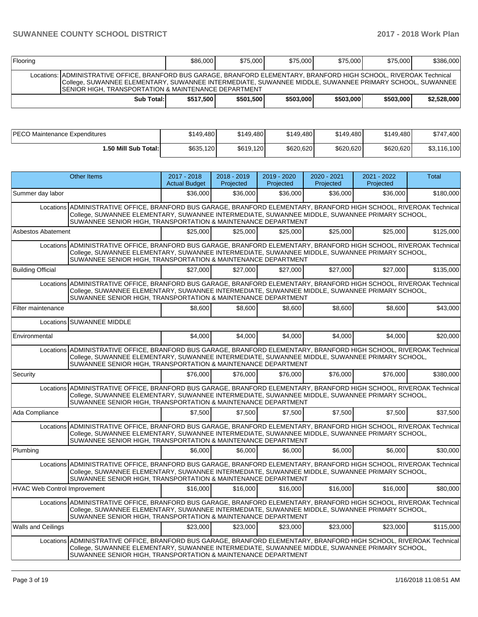| Flooring                                                                                                                                                                                                                                                                                 |            | \$86,000  | \$75,000  | \$75,000  | \$75,000  | \$75,000  | \$386,000   |
|------------------------------------------------------------------------------------------------------------------------------------------------------------------------------------------------------------------------------------------------------------------------------------------|------------|-----------|-----------|-----------|-----------|-----------|-------------|
| Locations: ADMINISTRATIVE OFFICE, BRANFORD BUS GARAGE, BRANFORD ELEMENTARY, BRANFORD HIGH SCHOOL, RIVEROAK Technical<br>College, SUWANNEE ELEMENTARY, SUWANNEE INTERMEDIATE, SUWANNEE MIDDLE, SUWANNEE PRIMARY SCHOOL, SUWANNEE<br>ISENIOR HIGH. TRANSPORTATION & MAINTENANCE DEPARTMENT |            |           |           |           |           |           |             |
|                                                                                                                                                                                                                                                                                          | Sub Total: | \$517,500 | \$501.500 | \$503,000 | \$503,000 | \$503,000 | \$2.528.000 |

| PECO Maintenance Expenditures | \$149.480 | \$149,480 | \$149.480 | \$149.480 | \$149.480 | \$747,400   |
|-------------------------------|-----------|-----------|-----------|-----------|-----------|-------------|
| <b>⊥.50 Mill Sub Total:</b> I | \$635.120 | \$619.120 | \$620,620 | \$620.620 | \$620.620 | \$3,116,100 |

|                                     | <b>Other Items</b>                                                                                                                                                                                                                                                                     | 2017 - 2018<br><b>Actual Budget</b> | 2018 - 2019<br>Projected | 2019 - 2020<br>Projected | 2020 - 2021<br>Projected | 2021 - 2022<br>Projected | Total     |  |  |  |
|-------------------------------------|----------------------------------------------------------------------------------------------------------------------------------------------------------------------------------------------------------------------------------------------------------------------------------------|-------------------------------------|--------------------------|--------------------------|--------------------------|--------------------------|-----------|--|--|--|
| Summer day labor                    |                                                                                                                                                                                                                                                                                        | \$36,000                            | \$36,000                 | \$36,000                 | \$36,000                 | \$36,000                 | \$180,000 |  |  |  |
| Locations                           | ADMINISTRATIVE OFFICE, BRANFORD BUS GARAGE, BRANFORD ELEMENTARY, BRANFORD HIGH SCHOOL, RIVEROAK Technical<br>College, SUWANNEE ELEMENTARY, SUWANNEE INTERMEDIATE, SUWANNEE MIDDLE, SUWANNEE PRIMARY SCHOOL,<br>SUWANNEE SENIOR HIGH, TRANSPORTATION & MAINTENANCE DEPARTMENT           |                                     |                          |                          |                          |                          |           |  |  |  |
| Asbestos Abatement                  |                                                                                                                                                                                                                                                                                        | \$25,000                            | \$25,000                 | \$25,000                 | \$25,000                 | \$25,000                 | \$125,000 |  |  |  |
|                                     | Locations ADMINISTRATIVE OFFICE. BRANFORD BUS GARAGE. BRANFORD ELEMENTARY. BRANFORD HIGH SCHOOL. RIVEROAK Technical<br>College, SUWANNEE ELEMENTARY, SUWANNEE INTERMEDIATE, SUWANNEE MIDDLE, SUWANNEE PRIMARY SCHOOL,<br>SUWANNEE SENIOR HIGH, TRANSPORTATION & MAINTENANCE DEPARTMENT |                                     |                          |                          |                          |                          |           |  |  |  |
| <b>Building Official</b>            |                                                                                                                                                                                                                                                                                        | \$27,000                            | \$27,000                 | \$27.000                 | \$27,000                 | \$27.000                 | \$135,000 |  |  |  |
| Locations                           | ADMINISTRATIVE OFFICE, BRANFORD BUS GARAGE, BRANFORD ELEMENTARY, BRANFORD HIGH SCHOOL, RIVEROAK Technical<br>College, SUWANNEE ELEMENTARY, SUWANNEE INTERMEDIATE, SUWANNEE MIDDLE, SUWANNEE PRIMARY SCHOOL,<br>SUWANNEE SENIOR HIGH, TRANSPORTATION & MAINTENANCE DEPARTMENT           |                                     |                          |                          |                          |                          |           |  |  |  |
| Filter maintenance                  |                                                                                                                                                                                                                                                                                        | \$8,600                             | \$8,600                  | \$8,600                  | \$8,600                  | \$8,600                  | \$43,000  |  |  |  |
|                                     | Locations SUWANNEE MIDDLE                                                                                                                                                                                                                                                              |                                     |                          |                          |                          |                          |           |  |  |  |
| Environmental                       |                                                                                                                                                                                                                                                                                        | \$4.000                             | \$4.000                  | \$4,000                  | \$4.000                  | \$4.000                  | \$20,000  |  |  |  |
|                                     | Locations ADMINISTRATIVE OFFICE, BRANFORD BUS GARAGE, BRANFORD ELEMENTARY, BRANFORD HIGH SCHOOL, RIVEROAK Technical<br>College, SUWANNEE ELEMENTARY, SUWANNEE INTERMEDIATE, SUWANNEE MIDDLE, SUWANNEE PRIMARY SCHOOL,<br>SUWANNEE SENIOR HIGH, TRANSPORTATION & MAINTENANCE DEPARTMENT |                                     |                          |                          |                          |                          |           |  |  |  |
| Security                            |                                                                                                                                                                                                                                                                                        | \$76.000                            | \$76,000                 | \$76,000                 | \$76,000                 | \$76,000                 | \$380.000 |  |  |  |
|                                     | Locations ADMINISTRATIVE OFFICE, BRANFORD BUS GARAGE, BRANFORD ELEMENTARY, BRANFORD HIGH SCHOOL, RIVEROAK Technical<br>College, SUWANNEE ELEMENTARY, SUWANNEE INTERMEDIATE, SUWANNEE MIDDLE, SUWANNEE PRIMARY SCHOOL,<br>SUWANNEE SENIOR HIGH, TRANSPORTATION & MAINTENANCE DEPARTMENT |                                     |                          |                          |                          |                          |           |  |  |  |
| Ada Compliance                      |                                                                                                                                                                                                                                                                                        | \$7,500                             | \$7.500                  | \$7.500                  | \$7.500                  | \$7.500                  | \$37,500  |  |  |  |
| Locations                           | ADMINISTRATIVE OFFICE, BRANFORD BUS GARAGE, BRANFORD ELEMENTARY, BRANFORD HIGH SCHOOL, RIVEROAK Technical<br>College, SUWANNEE ELEMENTARY, SUWANNEE INTERMEDIATE, SUWANNEE MIDDLE, SUWANNEE PRIMARY SCHOOL,<br>SUWANNEE SENIOR HIGH, TRANSPORTATION & MAINTENANCE DEPARTMENT           |                                     |                          |                          |                          |                          |           |  |  |  |
| Plumbing                            |                                                                                                                                                                                                                                                                                        | \$6,000                             | \$6,000                  | \$6,000                  | \$6,000                  | \$6,000                  | \$30,000  |  |  |  |
|                                     | Locations ADMINISTRATIVE OFFICE, BRANFORD BUS GARAGE, BRANFORD ELEMENTARY, BRANFORD HIGH SCHOOL, RIVEROAK Technical<br>College, SUWANNEE ELEMENTARY, SUWANNEE INTERMEDIATE, SUWANNEE MIDDLE, SUWANNEE PRIMARY SCHOOL,<br>SUWANNEE SENIOR HIGH, TRANSPORTATION & MAINTENANCE DEPARTMENT |                                     |                          |                          |                          |                          |           |  |  |  |
| <b>HVAC Web Control Improvement</b> |                                                                                                                                                                                                                                                                                        | \$16,000                            | \$16,000                 | \$16,000                 | \$16,000                 | \$16.000                 | \$80,000  |  |  |  |
|                                     | Locations ADMINISTRATIVE OFFICE, BRANFORD BUS GARAGE, BRANFORD ELEMENTARY, BRANFORD HIGH SCHOOL, RIVEROAK Technical<br>College, SUWANNEE ELEMENTARY, SUWANNEE INTERMEDIATE, SUWANNEE MIDDLE, SUWANNEE PRIMARY SCHOOL,<br>SUWANNEE SENIOR HIGH, TRANSPORTATION & MAINTENANCE DEPARTMENT |                                     |                          |                          |                          |                          |           |  |  |  |
| Walls and Ceilings                  |                                                                                                                                                                                                                                                                                        | \$23,000                            | \$23,000                 | \$23,000                 | \$23,000                 | \$23,000                 | \$115,000 |  |  |  |
| Locations                           | ADMINISTRATIVE OFFICE, BRANFORD BUS GARAGE, BRANFORD ELEMENTARY, BRANFORD HIGH SCHOOL, RIVEROAK Technical<br>College, SUWANNEE ELEMENTARY, SUWANNEE INTERMEDIATE, SUWANNEE MIDDLE, SUWANNEE PRIMARY SCHOOL,<br>SUWANNEE SENIOR HIGH, TRANSPORTATION & MAINTENANCE DEPARTMENT           |                                     |                          |                          |                          |                          |           |  |  |  |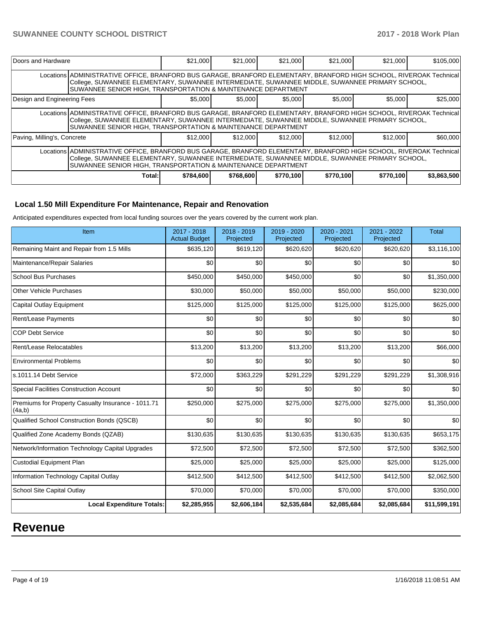| Doors and Hardware                                                                                                                                                                                                                                                                     |                                                                                                                                                                                                                                                                                        | \$21,000  | \$21.000  | \$21,000  | \$21.000  | \$21,000  | \$105,000   |  |  |
|----------------------------------------------------------------------------------------------------------------------------------------------------------------------------------------------------------------------------------------------------------------------------------------|----------------------------------------------------------------------------------------------------------------------------------------------------------------------------------------------------------------------------------------------------------------------------------------|-----------|-----------|-----------|-----------|-----------|-------------|--|--|
| Locations ADMINISTRATIVE OFFICE, BRANFORD BUS GARAGE, BRANFORD ELEMENTARY, BRANFORD HIGH SCHOOL, RIVEROAK Technical<br>College, SUWANNEE ELEMENTARY, SUWANNEE INTERMEDIATE, SUWANNEE MIDDLE, SUWANNEE PRIMARY SCHOOL,<br>SUWANNEE SENIOR HIGH, TRANSPORTATION & MAINTENANCE DEPARTMENT |                                                                                                                                                                                                                                                                                        |           |           |           |           |           |             |  |  |
| Design and Engineering Fees                                                                                                                                                                                                                                                            |                                                                                                                                                                                                                                                                                        | \$5,000   | \$5,000   | \$5,000   | \$5,000   | \$5,000   | \$25,000    |  |  |
|                                                                                                                                                                                                                                                                                        | Locations ADMINISTRATIVE OFFICE, BRANFORD BUS GARAGE, BRANFORD ELEMENTARY, BRANFORD HIGH SCHOOL, RIVEROAK Technical<br>College, SUWANNEE ELEMENTARY, SUWANNEE INTERMEDIATE, SUWANNEE MIDDLE, SUWANNEE PRIMARY SCHOOL,<br>SUWANNEE SENIOR HIGH, TRANSPORTATION & MAINTENANCE DEPARTMENT |           |           |           |           |           |             |  |  |
| Paving, Milling's, Concrete                                                                                                                                                                                                                                                            |                                                                                                                                                                                                                                                                                        | \$12,000  | \$12,000  | \$12,000  | \$12,000  | \$12,000  | \$60,000    |  |  |
| Locations ADMINISTRATIVE OFFICE, BRANFORD BUS GARAGE, BRANFORD ELEMENTARY, BRANFORD HIGH SCHOOL, RIVEROAK Technical<br>College, SUWANNEE ELEMENTARY, SUWANNEE INTERMEDIATE, SUWANNEE MIDDLE, SUWANNEE PRIMARY SCHOOL,<br>SUWANNEE SENIOR HIGH, TRANSPORTATION & MAINTENANCE DEPARTMENT |                                                                                                                                                                                                                                                                                        |           |           |           |           |           |             |  |  |
|                                                                                                                                                                                                                                                                                        | Total:                                                                                                                                                                                                                                                                                 | \$784,600 | \$768,600 | \$770,100 | \$770,100 | \$770.100 | \$3,863,500 |  |  |

## **Local 1.50 Mill Expenditure For Maintenance, Repair and Renovation**

Anticipated expenditures expected from local funding sources over the years covered by the current work plan.

| Item                                                         | 2017 - 2018<br><b>Actual Budget</b> | 2018 - 2019<br>Projected | 2019 - 2020<br>Projected | 2020 - 2021<br>Projected | 2021 - 2022<br>Projected | <b>Total</b> |
|--------------------------------------------------------------|-------------------------------------|--------------------------|--------------------------|--------------------------|--------------------------|--------------|
| Remaining Maint and Repair from 1.5 Mills                    | \$635,120                           | \$619,120                | \$620,620                | \$620,620                | \$620,620                | \$3,116,100  |
| Maintenance/Repair Salaries                                  | \$0                                 | \$0                      | \$0                      | \$0                      | \$0                      | \$0          |
| <b>School Bus Purchases</b>                                  | \$450,000                           | \$450,000                | \$450,000                | \$0                      | \$0                      | \$1,350,000  |
| <b>Other Vehicle Purchases</b>                               | \$30,000                            | \$50,000                 | \$50,000                 | \$50,000                 | \$50,000                 | \$230,000    |
| <b>Capital Outlay Equipment</b>                              | \$125,000                           | \$125,000                | \$125,000                | \$125,000                | \$125,000                | \$625,000    |
| <b>Rent/Lease Payments</b>                                   | \$0                                 | \$0                      | \$0                      | \$0                      | \$0                      | \$0          |
| <b>COP Debt Service</b>                                      | \$0                                 | \$0                      | \$0                      | \$0                      | \$0                      | \$0          |
| Rent/Lease Relocatables                                      | \$13,200                            | \$13,200                 | \$13,200                 | \$13,200                 | \$13,200                 | \$66,000     |
| <b>Environmental Problems</b>                                | \$0                                 | \$0                      | \$0                      | \$0                      | \$0                      | \$0          |
| s.1011.14 Debt Service                                       | \$72,000                            | \$363,229                | \$291,229                | \$291,229                | \$291,229                | \$1,308,916  |
| <b>Special Facilities Construction Account</b>               | \$0                                 | \$0                      | \$0                      | \$0                      | \$0                      | \$0          |
| Premiums for Property Casualty Insurance - 1011.71<br>(4a,b) | \$250,000                           | \$275,000                | \$275,000                | \$275,000                | \$275,000                | \$1,350,000  |
| Qualified School Construction Bonds (QSCB)                   | \$0                                 | \$0                      | \$0                      | \$0                      | \$0                      | \$0          |
| Qualified Zone Academy Bonds (QZAB)                          | \$130,635                           | \$130,635                | \$130,635                | \$130,635                | \$130,635                | \$653,175    |
| Network/Information Technology Capital Upgrades              | \$72,500                            | \$72,500                 | \$72,500                 | \$72,500                 | \$72,500                 | \$362,500    |
| <b>Custodial Equipment Plan</b>                              | \$25,000                            | \$25,000                 | \$25,000                 | \$25,000                 | \$25,000                 | \$125,000    |
| Information Technology Capital Outlay                        | \$412,500                           | \$412,500                | \$412,500                | \$412,500                | \$412,500                | \$2,062,500  |
| School Site Capital Outlay                                   | \$70,000                            | \$70,000                 | \$70,000                 | \$70,000                 | \$70,000                 | \$350,000    |
| <b>Local Expenditure Totals:</b>                             | \$2,285,955                         | \$2,606,184              | \$2,535,684              | \$2,085,684              | \$2,085,684              | \$11,599,191 |

# **Revenue**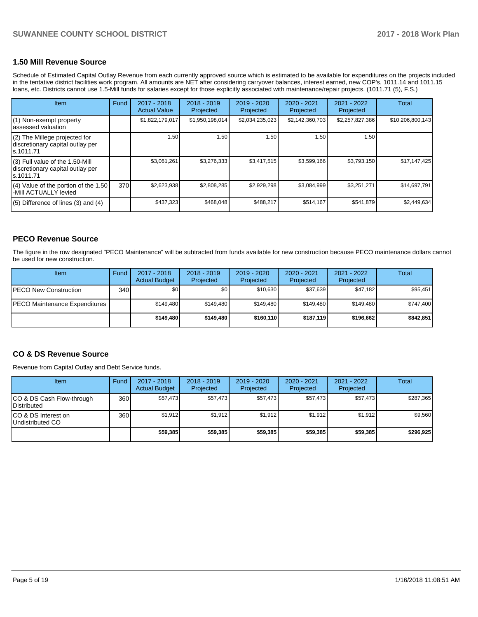### **1.50 Mill Revenue Source**

Schedule of Estimated Capital Outlay Revenue from each currently approved source which is estimated to be available for expenditures on the projects included in the tentative district facilities work program. All amounts are NET after considering carryover balances, interest earned, new COP's, 1011.14 and 1011.15 loans, etc. Districts cannot use 1.5-Mill funds for salaries except for those explicitly associated with maintenance/repair projects. (1011.71 (5), F.S.)

| Item                                                                                | Fund | $2017 - 2018$<br><b>Actual Value</b> | $2018 - 2019$<br>Projected | 2019 - 2020<br>Projected | $2020 - 2021$<br>Projected | 2021 - 2022<br>Projected | <b>Total</b>     |
|-------------------------------------------------------------------------------------|------|--------------------------------------|----------------------------|--------------------------|----------------------------|--------------------------|------------------|
| (1) Non-exempt property<br>lassessed valuation                                      |      | \$1,822,179,017                      | \$1,950,198,014            | \$2,034,235,023          | \$2,142,360,703            | \$2,257,827,386          | \$10,206,800,143 |
| (2) The Millege projected for<br>discretionary capital outlay per<br>ls.1011.71     |      | 1.50                                 | 1.50                       | 1.50                     | 1.50                       | 1.50                     |                  |
| $(3)$ Full value of the 1.50-Mill<br>discretionary capital outlay per<br>ls.1011.71 |      | \$3,061,261                          | \$3,276,333                | \$3,417,515              | \$3,599,166                | \$3,793,150              | \$17.147.425     |
| (4) Value of the portion of the 1.50<br>-Mill ACTUALLY levied                       | 370  | \$2,623,938                          | \$2,808,285                | \$2,929,298              | \$3,084,999                | \$3,251,271              | \$14,697,791     |
| $(5)$ Difference of lines $(3)$ and $(4)$                                           |      | \$437,323                            | \$468,048                  | \$488.217                | \$514,167                  | \$541,879                | \$2,449,634      |

### **PECO Revenue Source**

The figure in the row designated "PECO Maintenance" will be subtracted from funds available for new construction because PECO maintenance dollars cannot be used for new construction.

| Item                                 | Fund             | $2017 - 2018$<br><b>Actual Budget</b> | $2018 - 2019$<br>Projected | 2019 - 2020<br>Projected | $2020 - 2021$<br>Projected | 2021 - 2022<br>Projected | Total     |
|--------------------------------------|------------------|---------------------------------------|----------------------------|--------------------------|----------------------------|--------------------------|-----------|
| <b>IPECO New Construction</b>        | 340 <sub>l</sub> | \$0                                   | \$0                        | \$10,630                 | \$37.639                   | \$47,182                 | \$95,451  |
| <b>PECO Maintenance Expenditures</b> |                  | \$149.480                             | \$149.480                  | \$149.480                | \$149.480                  | \$149.480                | \$747,400 |
|                                      |                  | \$149,480                             | \$149,480                  | \$160,110                | \$187.119                  | \$196,662                | \$842,851 |

### **CO & DS Revenue Source**

Revenue from Capital Outlay and Debt Service funds.

| <b>Item</b>                              | Fund | $2017 - 2018$<br><b>Actual Budget</b> | $2018 - 2019$<br>Projected | 2019 - 2020<br>Projected | $2020 - 2021$<br>Projected | $2021 - 2022$<br>Projected | Total     |
|------------------------------------------|------|---------------------------------------|----------------------------|--------------------------|----------------------------|----------------------------|-----------|
| CO & DS Cash Flow-through<br>Distributed | 360  | \$57.473                              | \$57.473                   | \$57.473                 | \$57.473                   | \$57.473                   | \$287,365 |
| ICO & DS Interest on<br>Undistributed CO | 360  | \$1,912                               | \$1.912                    | \$1,912                  | \$1,912                    | \$1,912                    | \$9,560   |
|                                          |      | \$59,385                              | \$59,385                   | \$59,385                 | \$59,385                   | \$59,385                   | \$296,925 |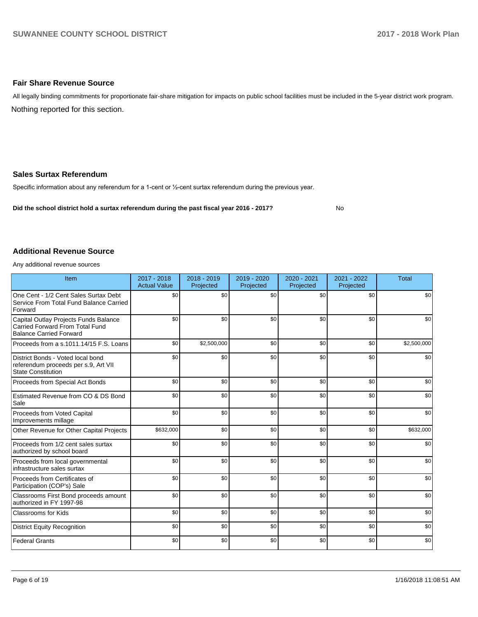### **Fair Share Revenue Source**

Nothing reported for this section. All legally binding commitments for proportionate fair-share mitigation for impacts on public school facilities must be included in the 5-year district work program.

### **Sales Surtax Referendum**

Specific information about any referendum for a 1-cent or 1/2-cent surtax referendum during the previous year.

**Did the school district hold a surtax referendum during the past fiscal year 2016 - 2017?**

No

### **Additional Revenue Source**

Any additional revenue sources

| Item                                                                                                       | 2017 - 2018<br><b>Actual Value</b> | 2018 - 2019<br>Projected | 2019 - 2020<br>Projected | 2020 - 2021<br>Projected | 2021 - 2022<br>Projected | <b>Total</b> |
|------------------------------------------------------------------------------------------------------------|------------------------------------|--------------------------|--------------------------|--------------------------|--------------------------|--------------|
| One Cent - 1/2 Cent Sales Surtax Debt<br>Service From Total Fund Balance Carried<br>Forward                | \$0                                | \$0                      | \$0                      | \$0                      | \$0                      | \$0          |
| Capital Outlay Projects Funds Balance<br>Carried Forward From Total Fund<br><b>Balance Carried Forward</b> | \$0                                | \$0                      | \$0                      | \$0                      | \$0                      | \$0          |
| Proceeds from a s.1011.14/15 F.S. Loans                                                                    | \$0                                | \$2,500,000              | \$0                      | \$0                      | \$0                      | \$2,500,000  |
| District Bonds - Voted local bond<br>referendum proceeds per s.9, Art VII<br><b>State Constitution</b>     | \$0                                | \$0                      | \$0                      | \$0                      | \$0                      | \$0          |
| Proceeds from Special Act Bonds                                                                            | \$0                                | \$0                      | \$0                      | \$0                      | \$0                      | \$0          |
| Estimated Revenue from CO & DS Bond<br>Sale                                                                | \$0                                | \$0                      | \$0                      | \$0                      | \$0                      | \$0          |
| Proceeds from Voted Capital<br>Improvements millage                                                        | \$0                                | \$0                      | \$0                      | \$0                      | \$0                      | \$0          |
| Other Revenue for Other Capital Projects                                                                   | \$632,000                          | \$0                      | \$0                      | \$0                      | \$0                      | \$632,000    |
| Proceeds from 1/2 cent sales surtax<br>authorized by school board                                          | \$0                                | \$0                      | \$0                      | \$0                      | \$0                      | \$0          |
| Proceeds from local governmental<br>infrastructure sales surtax                                            | \$0                                | \$0                      | \$0                      | \$0                      | \$0                      | \$0          |
| Proceeds from Certificates of<br>Participation (COP's) Sale                                                | \$0                                | \$0                      | \$0                      | \$0                      | \$0                      | \$0          |
| Classrooms First Bond proceeds amount<br>authorized in FY 1997-98                                          | \$0                                | \$0                      | \$0                      | \$0                      | \$0                      | \$0          |
| <b>Classrooms for Kids</b>                                                                                 | \$0                                | \$0                      | \$0                      | \$0                      | \$0                      | \$0          |
| District Equity Recognition                                                                                | \$0                                | \$0                      | \$0                      | \$0                      | \$0                      | \$0          |
| <b>Federal Grants</b>                                                                                      | \$0                                | \$0                      | \$0                      | \$0                      | \$0                      | \$0          |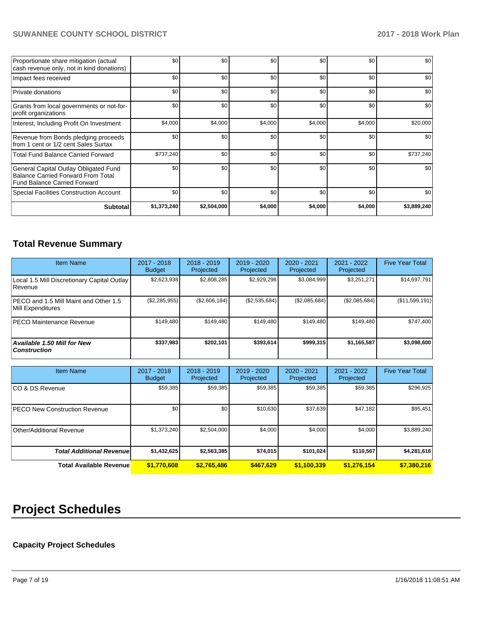| Proportionate share mitigation (actual<br>cash revenue only, not in kind donations)                                       | \$0         | \$0         | \$0     | \$0     | \$0     | \$0         |
|---------------------------------------------------------------------------------------------------------------------------|-------------|-------------|---------|---------|---------|-------------|
| Impact fees received                                                                                                      | \$0         | \$0         | \$0     | \$0     | \$0     | \$0         |
| Private donations                                                                                                         | \$0         | \$0         | \$0     | \$0     | \$0     | \$0         |
| Grants from local governments or not-for-<br>profit organizations                                                         | \$0         | \$0         | \$0     | \$0     | \$0     | \$0         |
| Interest, Including Profit On Investment                                                                                  | \$4,000     | \$4,000     | \$4,000 | \$4,000 | \$4,000 | \$20,000    |
| Revenue from Bonds pledging proceeds<br>from 1 cent or 1/2 cent Sales Surtax                                              | \$0         | \$0         | \$0     | \$0     | \$0     | \$0         |
| <b>Total Fund Balance Carried Forward</b>                                                                                 | \$737,240   | \$0         | \$0     | \$0     | \$0     | \$737,240   |
| General Capital Outlay Obligated Fund<br><b>Balance Carried Forward From Total</b><br><b>Fund Balance Carried Forward</b> | \$0         | \$0         | \$0     | \$0     | \$0     | \$0         |
| <b>Special Facilities Construction Account</b>                                                                            | \$0         | \$0         | \$0     | \$0     | \$0     | \$0         |
| <b>Subtotal</b>                                                                                                           | \$1,373,240 | \$2,504,000 | \$4,000 | \$4,000 | \$4,000 | \$3,889,240 |

# **Total Revenue Summary**

| <b>Item Name</b>                                              | 2017 - 2018<br><b>Budget</b> | $2018 - 2019$<br>Projected | 2019 - 2020<br>Projected | 2020 - 2021<br>Projected | 2021 - 2022<br>Projected | <b>Five Year Total</b> |
|---------------------------------------------------------------|------------------------------|----------------------------|--------------------------|--------------------------|--------------------------|------------------------|
| Local 1.5 Mill Discretionary Capital Outlay<br><b>Revenue</b> | \$2,623,938                  | \$2.808.285                | \$2,929,298              | \$3.084.999              | \$3,251,271              | \$14,697,791           |
| PECO and 1.5 Mill Maint and Other 1.5<br>Mill Expenditures    | $(\$2,285,955)$              | (\$2,606,184)              | (\$2,535,684)            | (\$2,085,684)            | (\$2,085,684)            | $($ \$11,599,191) $ $  |
| <b>PECO Maintenance Revenue</b>                               | \$149.480                    | \$149.480                  | \$149.480                | \$149.480                | \$149.480                | \$747,400              |
| Available 1.50 Mill for New<br>  Construction                 | \$337,983                    | \$202.101                  | \$393.614                | \$999,315                | \$1,165,587              | \$3,098,600            |

| <b>Item Name</b>                     | $2017 - 2018$<br><b>Budget</b> | $2018 - 2019$<br>Projected | 2019 - 2020<br>Projected | $2020 - 2021$<br>Projected | 2021 - 2022<br>Projected | <b>Five Year Total</b> |
|--------------------------------------|--------------------------------|----------------------------|--------------------------|----------------------------|--------------------------|------------------------|
| ICO & DS Revenue                     | \$59,385                       | \$59,385                   | \$59,385                 | \$59,385                   | \$59,385                 | \$296,925              |
| <b>PECO New Construction Revenue</b> | \$0                            | \$0                        | \$10,630                 | \$37,639                   | \$47,182                 | \$95,451               |
| Other/Additional Revenue             | \$1,373,240                    | \$2,504,000                | \$4,000                  | \$4,000                    | \$4,000                  | \$3,889,240            |
| <b>Total Additional Revenuel</b>     | \$1,432,625                    | \$2,563,385                | \$74,015                 | \$101,024                  | \$110,567                | \$4,281,616            |
| <b>Total Available Revenue</b>       | \$1,770,608                    | \$2,765,486                | \$467.629                | \$1,100,339                | \$1,276,154              | \$7,380,216            |

# **Project Schedules**

# **Capacity Project Schedules**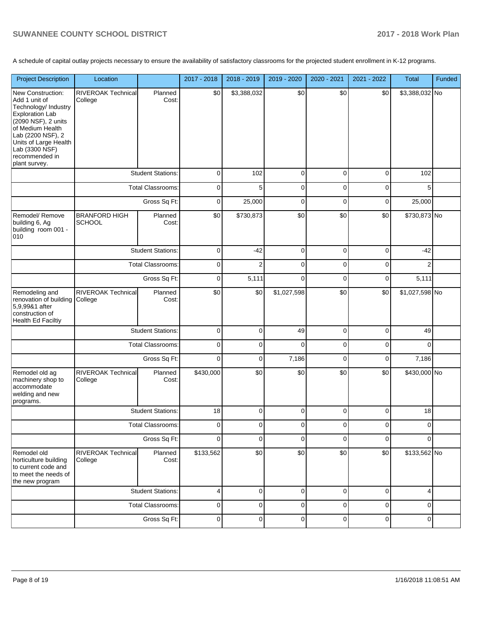A schedule of capital outlay projects necessary to ensure the availability of satisfactory classrooms for the projected student enrollment in K-12 programs.

| <b>Project Description</b>                                                                                                                                                                                                         | Location                              |                          | 2017 - 2018 | 2018 - 2019    | 2019 - 2020 | 2020 - 2021 | 2021 - 2022 | Total          | Funded |
|------------------------------------------------------------------------------------------------------------------------------------------------------------------------------------------------------------------------------------|---------------------------------------|--------------------------|-------------|----------------|-------------|-------------|-------------|----------------|--------|
| New Construction:<br>Add 1 unit of<br>Technology/ Industry<br><b>Exploration Lab</b><br>(2090 NSF), 2 units<br>of Medium Health<br>Lab (2200 NSF), 2<br>Units of Large Health<br>Lab (3300 NSF)<br>recommended in<br>plant survey. | <b>RIVEROAK Technical</b><br>College  | Planned<br>Cost:         | \$0         | \$3,388,032    | \$0         | \$0         | \$0         | \$3,388,032 No |        |
|                                                                                                                                                                                                                                    |                                       | <b>Student Stations:</b> | $\mathbf 0$ | 102            | 0           | 0           | $\pmb{0}$   | 102            |        |
|                                                                                                                                                                                                                                    |                                       | <b>Total Classrooms:</b> | $\mathbf 0$ | 5              | 0           | 0           | $\pmb{0}$   | 5              |        |
|                                                                                                                                                                                                                                    |                                       | Gross Sq Ft:             | $\mathbf 0$ | 25,000         | 0           | 0           | $\pmb{0}$   | 25,000         |        |
| Remodel/Remove<br>building 6, Ag<br>building room 001 -<br>010                                                                                                                                                                     | <b>BRANFORD HIGH</b><br><b>SCHOOL</b> | Planned<br>Cost:         | \$0         | \$730,873      | \$0         | \$0         | \$0         | \$730,873 No   |        |
|                                                                                                                                                                                                                                    |                                       | <b>Student Stations:</b> | $\mathbf 0$ | $-42$          | 0           | 0           | $\pmb{0}$   | $-42$          |        |
|                                                                                                                                                                                                                                    |                                       | <b>Total Classrooms:</b> | $\mathbf 0$ | $\overline{2}$ | 0           | 0           | 0           | $\overline{2}$ |        |
|                                                                                                                                                                                                                                    |                                       | Gross Sq Ft:             | $\mathbf 0$ | 5,111          | 0           | 0           | 0           | 5,111          |        |
| Remodeling and<br>renovation of building<br>5,9,99&1 after<br>construction of<br><b>Health Ed Faciltiy</b>                                                                                                                         | <b>RIVEROAK Technical</b><br>College  | Planned<br>Cost:         | \$0         | \$0            | \$1,027,598 | \$0         | \$0         | \$1,027,598 No |        |
|                                                                                                                                                                                                                                    |                                       | <b>Student Stations:</b> | $\mathbf 0$ | 0              | 49          | $\pmb{0}$   | $\pmb{0}$   | 49             |        |
|                                                                                                                                                                                                                                    |                                       | <b>Total Classrooms:</b> | $\mathbf 0$ | 0              | $\Omega$    | 0           | $\pmb{0}$   | $\Omega$       |        |
|                                                                                                                                                                                                                                    |                                       | Gross Sq Ft:             | $\mathbf 0$ | 0              | 7,186       | $\mathbf 0$ | $\pmb{0}$   | 7,186          |        |
| Remodel old ag<br>machinery shop to<br>accommodate<br>welding and new<br>programs.                                                                                                                                                 | RIVEROAK Technical<br>College         | Planned<br>Cost:         | \$430,000   | \$0            | \$0         | \$0         | \$0         | \$430,000 No   |        |
|                                                                                                                                                                                                                                    |                                       | <b>Student Stations:</b> | 18          | 0              | 0           | 0           | $\mathbf 0$ | 18             |        |
|                                                                                                                                                                                                                                    |                                       | Total Classrooms:        | 0           | 0              | 0           | 0           | 0           | $\mathbf 0$    |        |
|                                                                                                                                                                                                                                    |                                       | Gross Sq Ft:             | $\mathbf 0$ | 0              | 0           | 0           | $\mathbf 0$ | 0              |        |
| Remodel old<br>horticulture building<br>to current code and<br>to meet the needs of<br>the new program                                                                                                                             | RIVEROAK Technical<br>College         | Planned<br>Cost:         | \$133,562   | \$0            | \$0         | \$0         | \$0         | \$133,562 No   |        |
|                                                                                                                                                                                                                                    |                                       | <b>Student Stations:</b> | 4           | 0              | 0           | 0           | $\mathbf 0$ | $\overline{4}$ |        |
|                                                                                                                                                                                                                                    |                                       | <b>Total Classrooms:</b> | $\mathbf 0$ | 0              | 0           | 0           | $\pmb{0}$   | 0              |        |
|                                                                                                                                                                                                                                    |                                       | Gross Sq Ft:             | $\mathbf 0$ | 0              | 0           | 0           | $\pmb{0}$   | $\mathbf 0$    |        |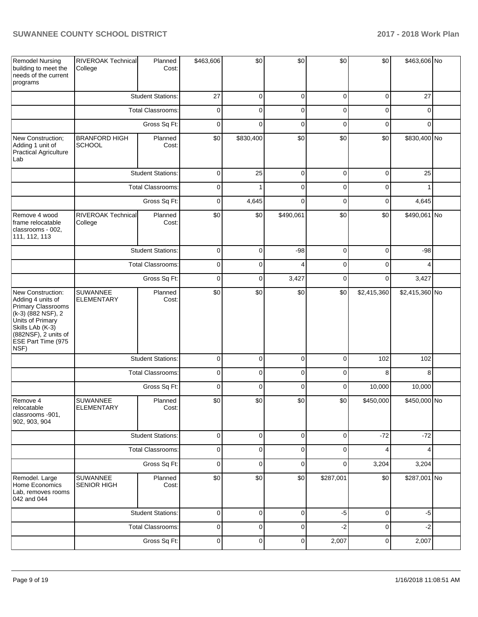| <b>Remodel Nursing</b><br>building to meet the<br>needs of the current<br>programs                                                                                               | <b>RIVEROAK Technical</b><br>College  | Planned<br>Cost:         | \$463,606   | \$0            | \$0            | \$0            | \$0         | \$463,606 No   |  |
|----------------------------------------------------------------------------------------------------------------------------------------------------------------------------------|---------------------------------------|--------------------------|-------------|----------------|----------------|----------------|-------------|----------------|--|
|                                                                                                                                                                                  |                                       | <b>Student Stations:</b> | 27          | $\mathbf 0$    | $\mathbf 0$    | $\mathbf 0$    | $\mathbf 0$ | 27             |  |
|                                                                                                                                                                                  |                                       | <b>Total Classrooms:</b> | 0           | $\mathbf 0$    | $\mathbf 0$    | $\mathbf 0$    | $\mathbf 0$ | $\Omega$       |  |
|                                                                                                                                                                                  |                                       | Gross Sq Ft:             | $\mathbf 0$ | $\mathbf 0$    | $\mathbf 0$    | $\mathbf 0$    | $\mathbf 0$ | $\Omega$       |  |
| New Construction;<br>Adding 1 unit of<br>Practical Agriculture<br>Lab                                                                                                            | <b>BRANFORD HIGH</b><br><b>SCHOOL</b> | Planned<br>Cost:         | \$0         | \$830,400      | \$0            | \$0            | \$0         | \$830,400 No   |  |
|                                                                                                                                                                                  |                                       | <b>Student Stations:</b> | $\mathbf 0$ | 25             | $\mathbf 0$    | $\mathbf 0$    | $\mathbf 0$ | 25             |  |
|                                                                                                                                                                                  |                                       | <b>Total Classrooms:</b> | 0           | 1              | $\mathbf 0$    | $\mathbf 0$    | $\mathbf 0$ |                |  |
|                                                                                                                                                                                  |                                       | Gross Sq Ft:             | 0           | 4,645          | $\mathbf 0$    | $\mathbf 0$    | $\mathbf 0$ | 4,645          |  |
| Remove 4 wood<br>frame relocatable<br>classrooms - 002,<br>111, 112, 113                                                                                                         | RIVEROAK Technical<br>College         | Planned<br>Cost:         | \$0         | \$0            | \$490,061      | \$0            | \$0         | \$490,061 No   |  |
|                                                                                                                                                                                  |                                       | <b>Student Stations:</b> | $\mathbf 0$ | 0              | $-98$          | $\mathbf 0$    | $\mathbf 0$ | $-98$          |  |
|                                                                                                                                                                                  |                                       | <b>Total Classrooms:</b> | $\mathbf 0$ | $\mathbf 0$    | 4              | $\mathbf 0$    | $\mathbf 0$ | 4              |  |
|                                                                                                                                                                                  |                                       | Gross Sq Ft:             | $\mathbf 0$ | 0              | 3,427          | $\mathbf 0$    | $\mathbf 0$ | 3,427          |  |
| New Construction:<br>Adding 4 units of<br>Primary Classrooms<br>(k-3) (882 NSF), 2<br>Units of Primary<br>Skills LAb (K-3)<br>(882NSF), 2 units of<br>ESE Part Time (975<br>NSF) | SUWANNEE<br><b>ELEMENTARY</b>         | Planned<br>Cost:         | \$0         | \$0            | \$0            | \$0            | \$2,415,360 | \$2,415,360 No |  |
|                                                                                                                                                                                  |                                       | <b>Student Stations:</b> | $\mathbf 0$ | $\mathbf 0$    | $\mathbf 0$    | $\mathbf 0$    | 102         | 102            |  |
|                                                                                                                                                                                  |                                       | Total Classrooms:        | 0           | 0              | $\mathbf 0$    | $\mathbf 0$    | 8           | 8              |  |
|                                                                                                                                                                                  |                                       | Gross Sq Ft:             | $\mathbf 0$ | $\mathbf 0$    | $\mathbf 0$    | $\mathbf 0$    | 10,000      | 10,000         |  |
| Remove 4<br>relocatable<br>classrooms -901.<br>902, 903, 904                                                                                                                     | SUWANNEE<br>ELEMENTARY                | Planned<br>Cost:         | \$0         | \$0            | \$0            | \$0            | \$450,000   | \$450,000 No   |  |
|                                                                                                                                                                                  |                                       | <b>Student Stations:</b> | $\pmb{0}$   | $\overline{0}$ | $\mathbf 0$    | $\mathbf 0$    | $-72$       | $-72$          |  |
|                                                                                                                                                                                  |                                       | Total Classrooms:        | 0           | 0              | $\mathbf 0$    | $\mathbf 0$    | 4           | 4              |  |
|                                                                                                                                                                                  |                                       | Gross Sq Ft:             | 0           | 0              | $\mathbf 0$    | $\overline{0}$ | 3,204       | 3,204          |  |
| Remodel. Large<br>Home Economics<br>Lab. removes rooms<br>042 and 044                                                                                                            | SUWANNEE<br><b>SENIOR HIGH</b>        | Planned<br>Cost:         | \$0         | \$0            | \$0            | \$287,001      | \$0         | \$287,001 No   |  |
|                                                                                                                                                                                  |                                       | <b>Student Stations:</b> | $\pmb{0}$   | $\mathbf 0$    | $\mathbf 0$    | $-5$           | $\mathbf 0$ | $-5$           |  |
|                                                                                                                                                                                  |                                       | Total Classrooms:        | $\pmb{0}$   | $\mathbf 0$    | $\mathbf 0$    | $-2$           | $\mathbf 0$ | $-2$           |  |
|                                                                                                                                                                                  |                                       | Gross Sq Ft:             | $\pmb{0}$   | $\overline{0}$ | $\overline{0}$ | 2,007          | $\mathbf 0$ | 2,007          |  |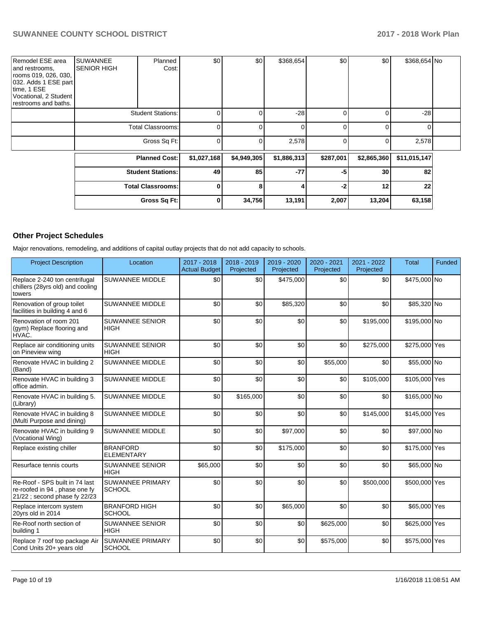| Remodel ESE area<br>and restrooms.<br>rooms 019, 026, 030,<br>032. Adds 1 ESE part<br>time, 1 ESE<br>Vocational, 2 Student<br>restrooms and baths. | <b>SUWANNEE</b><br><b>SENIOR HIGH</b> | Planned<br>Cost:         | \$0         | \$0         | \$368,654   | \$0       | \$0         | \$368,654 No |  |
|----------------------------------------------------------------------------------------------------------------------------------------------------|---------------------------------------|--------------------------|-------------|-------------|-------------|-----------|-------------|--------------|--|
|                                                                                                                                                    |                                       | <b>Student Stations:</b> | 0           | 0           | $-28$       | 0         | 0           | $-28$        |  |
|                                                                                                                                                    |                                       | Total Classrooms:        | $\Omega$    | O           | $\Omega$    | 0         | $\Omega$    | O            |  |
|                                                                                                                                                    |                                       | Gross Sq Ft:             | $\mathbf 0$ | 0           | 2,578       | 0         | 0           | 2,578        |  |
|                                                                                                                                                    |                                       | <b>Planned Cost:</b>     | \$1,027,168 | \$4,949,305 | \$1,886,313 | \$287,001 | \$2,865,360 | \$11,015,147 |  |
|                                                                                                                                                    |                                       | <b>Student Stations:</b> | 49          | 85          | $-77$       | -5        | 30          | 82           |  |
|                                                                                                                                                    |                                       | <b>Total Classrooms:</b> | $\mathbf 0$ | 8           | 4           | $-2$      | 12          | 22           |  |
|                                                                                                                                                    |                                       | Gross Sq Ft:             | 0           | 34,756      | 13,191      | 2,007     | 13,204      | 63,158       |  |

## **Other Project Schedules**

Major renovations, remodeling, and additions of capital outlay projects that do not add capacity to schools.

| <b>Project Description</b>                                                                      | Location                                 | 2017 - 2018<br><b>Actual Budget</b> | 2018 - 2019<br>Projected | 2019 - 2020<br>Projected | $2020 - 2021$<br>Projected | $2021 - 2022$<br>Projected | <b>Total</b>  | Funded |
|-------------------------------------------------------------------------------------------------|------------------------------------------|-------------------------------------|--------------------------|--------------------------|----------------------------|----------------------------|---------------|--------|
| Replace 2-240 ton centrifugal<br>chillers (28yrs old) and cooling<br>towers                     | <b>SUWANNEE MIDDLE</b>                   | \$0                                 | \$0                      | \$475,000                | \$0                        | \$0                        | \$475,000 No  |        |
| Renovation of group toilet<br>facilities in building 4 and 6                                    | <b>SUWANNEE MIDDLE</b>                   | \$0                                 | \$0                      | \$85,320                 | \$0                        | \$0                        | \$85,320 No   |        |
| Renovation of room 201<br>(gym) Replace flooring and<br>HVAC.                                   | <b>SUWANNEE SENIOR</b><br><b>HIGH</b>    | \$0                                 | \$0                      | \$0                      | \$0                        | \$195,000                  | \$195,000 No  |        |
| Replace air conditioning units<br>on Pineview wing                                              | <b>SUWANNEE SENIOR</b><br><b>HIGH</b>    | \$0                                 | \$0                      | \$0                      | \$0                        | \$275,000                  | \$275,000 Yes |        |
| Renovate HVAC in building 2<br>(Band)                                                           | <b>SUWANNEE MIDDLE</b>                   | \$0                                 | \$0                      | \$0                      | \$55,000                   | \$0                        | \$55,000 No   |        |
| Renovate HVAC in building 3<br>office admin.                                                    | <b>SUWANNEE MIDDLE</b>                   | \$0                                 | \$0                      | \$0                      | \$0                        | \$105,000                  | \$105,000 Yes |        |
| Renovate HVAC in building 5.<br>(Library)                                                       | <b>SUWANNEE MIDDLE</b>                   | \$0                                 | \$165,000                | \$0                      | \$0                        | \$0                        | \$165,000 No  |        |
| Renovate HVAC in building 8<br>(Multi Purpose and dining)                                       | <b>SUWANNEE MIDDLE</b>                   | \$0                                 | \$0                      | \$0                      | \$0                        | \$145,000                  | \$145,000 Yes |        |
| Renovate HVAC in building 9<br>(Vocational Wing)                                                | <b>SUWANNEE MIDDLE</b>                   | \$0                                 | \$0                      | \$97,000                 | \$0                        | \$0                        | \$97,000 No   |        |
| Replace existing chiller                                                                        | <b>BRANFORD</b><br><b>ELEMENTARY</b>     | \$0                                 | \$0                      | \$175,000                | \$0                        | \$0                        | \$175,000 Yes |        |
| Resurface tennis courts                                                                         | SUWANNEE SENIOR<br><b>HIGH</b>           | \$65,000                            | \$0                      | \$0                      | \$0                        | \$0                        | \$65,000 No   |        |
| Re-Roof - SPS built in 74 last<br>re-roofed in 94, phase one fy<br>21/22; second phase fy 22/23 | <b>SUWANNEE PRIMARY</b><br><b>SCHOOL</b> | \$0                                 | \$0                      | \$0                      | \$0                        | \$500,000                  | \$500,000 Yes |        |
| Replace intercom system<br>20yrs old in 2014                                                    | <b>BRANFORD HIGH</b><br><b>SCHOOL</b>    | \$0                                 | \$0                      | \$65,000                 | \$0                        | \$0                        | \$65,000 Yes  |        |
| Re-Roof north section of<br>building 1                                                          | <b>SUWANNEE SENIOR</b><br><b>HIGH</b>    | \$0                                 | \$0                      | \$0                      | \$625,000                  | \$0                        | \$625,000 Yes |        |
| Replace 7 roof top package Air<br>Cond Units 20+ years old                                      | <b>SUWANNEE PRIMARY</b><br><b>SCHOOL</b> | \$0                                 | \$0                      | \$0                      | \$575,000                  | \$0                        | \$575,000 Yes |        |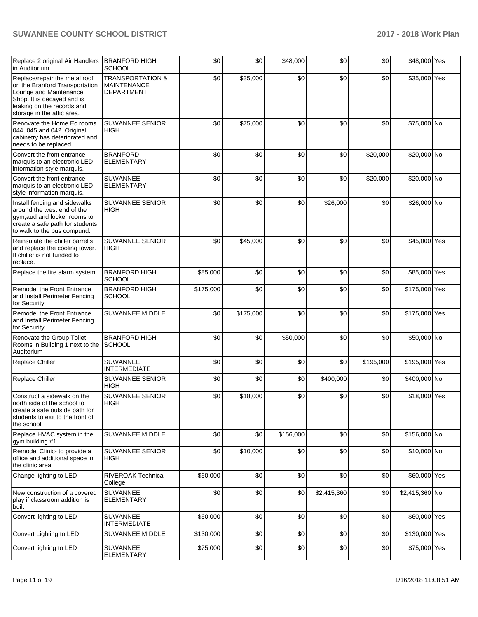| Replace 2 original Air Handlers<br>in Auditorium                                                                                                                                    | <b>BRANFORD HIGH</b><br><b>SCHOOL</b>                           | \$0       | \$0       | \$48,000  | \$0         | \$0       | \$48,000 Yes   |  |
|-------------------------------------------------------------------------------------------------------------------------------------------------------------------------------------|-----------------------------------------------------------------|-----------|-----------|-----------|-------------|-----------|----------------|--|
| Replace/repair the metal roof<br>on the Branford Transportation<br>Lounge and Maintenance<br>Shop. It is decayed and is<br>leaking on the records and<br>storage in the attic area. | <b>TRANSPORTATION &amp;</b><br><b>MAINTENANCE</b><br>DEPARTMENT | \$0       | \$35,000  | \$0       | \$0         | \$0       | \$35,000 Yes   |  |
| Renovate the Home Ec rooms<br>044, 045 and 042. Original<br>cabinetry has deteriorated and<br>needs to be replaced                                                                  | <b>SUWANNEE SENIOR</b><br>HIGH                                  | \$0       | \$75,000  | \$0       | \$0         | \$0       | \$75,000 No    |  |
| Convert the front entrance<br>marquis to an electronic LED<br>information style marquis.                                                                                            | <b>BRANFORD</b><br><b>ELEMENTARY</b>                            | \$0       | \$0       | \$0       | \$0         | \$20,000  | \$20,000 No    |  |
| Convert the front entrance<br>marquis to an electronic LED<br>style information marquis.                                                                                            | <b>SUWANNEE</b><br><b>ELEMENTARY</b>                            | \$0       | \$0       | \$0       | \$0         | \$20,000  | \$20,000 No    |  |
| Install fencing and sidewalks<br>around the west end of the<br>gym, aud and locker rooms to<br>create a safe path for students<br>to walk to the bus compund.                       | <b>SUWANNEE SENIOR</b><br><b>HIGH</b>                           | \$0       | \$0       | \$0       | \$26,000    | \$0       | \$26,000 No    |  |
| Reinsulate the chiller barrells<br>and replace the cooling tower.<br>If chiller is not funded to<br>replace.                                                                        | SUWANNEE SENIOR<br><b>HIGH</b>                                  | \$0       | \$45,000  | \$0       | \$0         | \$0       | \$45,000 Yes   |  |
| Replace the fire alarm system                                                                                                                                                       | <b>BRANFORD HIGH</b><br><b>SCHOOL</b>                           | \$85,000  | \$0       | \$0       | \$0         | \$0       | \$85,000 Yes   |  |
| Remodel the Front Entrance<br>and Install Perimeter Fencing<br>for Security                                                                                                         | <b>BRANFORD HIGH</b><br><b>SCHOOL</b>                           | \$175,000 | \$0       | \$0       | \$0         | \$0       | \$175,000 Yes  |  |
| Remodel the Front Entrance<br>and Install Perimeter Fencing<br>for Security                                                                                                         | SUWANNEE MIDDLE                                                 | \$0       | \$175,000 | \$0       | \$0         | \$0       | \$175,000 Yes  |  |
| Renovate the Group Toilet<br>Rooms in Building 1 next to the<br>Auditorium                                                                                                          | <b>BRANFORD HIGH</b><br><b>SCHOOL</b>                           | \$0       | \$0       | \$50,000  | \$0         | \$0       | \$50,000 No    |  |
| Replace Chiller                                                                                                                                                                     | SUWANNEE<br><b>INTERMEDIATE</b>                                 | \$0       | \$0       | \$0       | \$0         | \$195,000 | \$195,000 Yes  |  |
| Replace Chiller                                                                                                                                                                     | SUWANNEE SENIOR<br><b>HIGH</b>                                  | \$0       | \$0       | \$0       | \$400,000   | \$0       | \$400,000 No   |  |
| Construct a sidewalk on the<br>north side of the school to<br>create a safe outside path for<br>students to exit to the front of<br>the school                                      | SUWANNEE SENIOR<br><b>HIGH</b>                                  | \$0       | \$18,000  | \$0       | \$0         | \$0       | \$18,000 Yes   |  |
| Replace HVAC system in the<br>gym building #1                                                                                                                                       | <b>SUWANNEE MIDDLE</b>                                          | \$0       | \$0       | \$156,000 | \$0         | \$0       | \$156,000 No   |  |
| Remodel Clinic- to provide a<br>office and additional space in<br>the clinic area                                                                                                   | SUWANNEE SENIOR<br>HIGH                                         | \$0       | \$10,000  | \$0       | \$0         | \$0       | \$10,000 No    |  |
| Change lighting to LED                                                                                                                                                              | <b>RIVEROAK Technical</b><br>College                            | \$60,000  | \$0       | \$0       | \$0         | \$0       | \$60,000 Yes   |  |
| New construction of a covered<br>play if classroom addition is<br>built                                                                                                             | <b>SUWANNEE</b><br><b>ELEMENTARY</b>                            | \$0       | \$0       | \$0       | \$2,415,360 | \$0       | \$2,415,360 No |  |
| Convert lighting to LED                                                                                                                                                             | SUWANNEE<br><b>INTERMEDIATE</b>                                 | \$60,000  | \$0       | \$0       | \$0         | \$0       | \$60,000 Yes   |  |
| Convert Lighting to LED                                                                                                                                                             | SUWANNEE MIDDLE                                                 | \$130,000 | \$0       | \$0       | \$0         | \$0       | \$130,000 Yes  |  |
| Convert lighting to LED                                                                                                                                                             | <b>SUWANNEE</b><br><b>ELEMENTARY</b>                            | \$75,000  | \$0       | \$0       | \$0         | \$0       | \$75,000 Yes   |  |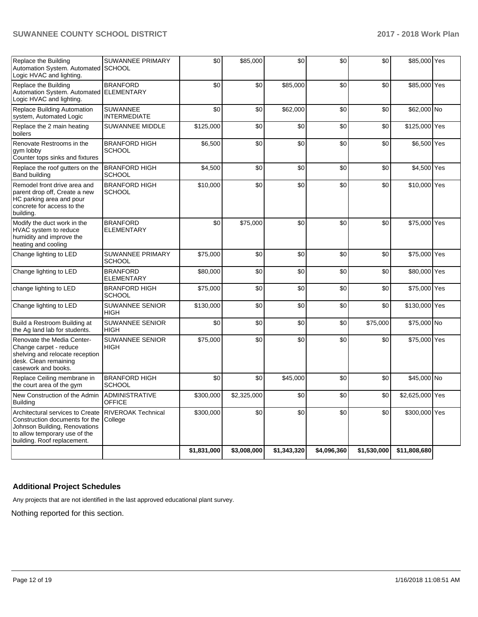| Replace the Building<br>Automation System. Automated SCHOOL<br>Logic HVAC and lighting.                                                                             | <b>SUWANNEE PRIMARY</b>                | \$0         | \$85,000    | \$0         | \$0         | \$0         | \$85,000 Yes    |  |
|---------------------------------------------------------------------------------------------------------------------------------------------------------------------|----------------------------------------|-------------|-------------|-------------|-------------|-------------|-----------------|--|
| Replace the Building<br>Automation System. Automated ELEMENTARY<br>Logic HVAC and lighting.                                                                         | <b>BRANFORD</b>                        | \$0         | \$0         | \$85,000    | \$0         | \$0         | \$85,000 Yes    |  |
| Replace Building Automation<br>system, Automated Logic                                                                                                              | <b>SUWANNEE</b><br><b>INTERMEDIATE</b> | \$0         | \$0         | \$62,000    | \$0         | \$0         | \$62,000 No     |  |
| Replace the 2 main heating<br>boilers                                                                                                                               | <b>SUWANNEE MIDDLE</b>                 | \$125,000   | \$0         | \$0         | \$0         | \$0         | \$125,000 Yes   |  |
| Renovate Restrooms in the<br>gym lobby<br>Counter tops sinks and fixtures                                                                                           | <b>BRANFORD HIGH</b><br><b>SCHOOL</b>  | \$6,500     | \$0         | \$0         | \$0         | \$0         | \$6,500 Yes     |  |
| Replace the roof gutters on the<br><b>Band building</b>                                                                                                             | <b>BRANFORD HIGH</b><br><b>SCHOOL</b>  | \$4,500     | \$0         | \$0         | \$0         | \$0         | \$4,500 Yes     |  |
| Remodel front drive area and<br>parent drop off, Create a new<br>HC parking area and pour<br>concrete for access to the<br>building.                                | <b>BRANFORD HIGH</b><br><b>SCHOOL</b>  | \$10,000    | \$0         | \$0         | \$0         | \$0         | \$10,000 Yes    |  |
| Modify the duct work in the<br>HVAC system to reduce<br>humidity and improve the<br>heating and cooling                                                             | <b>BRANFORD</b><br><b>ELEMENTARY</b>   | \$0         | \$75,000    | \$0         | \$0         | \$0         | \$75,000 Yes    |  |
| Change lighting to LED                                                                                                                                              | SUWANNEE PRIMARY<br><b>SCHOOL</b>      | \$75,000    | \$0         | \$0         | \$0         | \$0         | \$75,000 Yes    |  |
| Change lighting to LED                                                                                                                                              | <b>BRANFORD</b><br><b>ELEMENTARY</b>   | \$80,000    | \$0         | \$0         | \$0         | \$0         | \$80,000 Yes    |  |
| change lighting to LED                                                                                                                                              | <b>BRANFORD HIGH</b><br><b>SCHOOL</b>  | \$75,000    | \$0         | \$0         | \$0         | \$0         | \$75,000 Yes    |  |
| Change lighting to LED                                                                                                                                              | <b>SUWANNEE SENIOR</b><br><b>HIGH</b>  | \$130,000   | \$0         | \$0         | \$0         | \$0         | \$130,000 Yes   |  |
| Build a Restroom Building at<br>the Ag land lab for students.                                                                                                       | <b>SUWANNEE SENIOR</b><br><b>HIGH</b>  | \$0         | \$0         | \$0         | \$0         | \$75,000    | \$75,000 No     |  |
| Renovate the Media Center-<br>Change carpet - reduce<br>shelving and relocate reception<br>desk. Clean remaining<br>casework and books.                             | SUWANNEE SENIOR<br>HIGH                | \$75,000    | \$0         | \$0         | \$0         | \$0         | \$75,000 Yes    |  |
| Replace Ceiling membrane in<br>the court area of the gym                                                                                                            | <b>BRANFORD HIGH</b><br><b>SCHOOL</b>  | \$0         | \$0         | \$45,000    | \$0         | \$0         | \$45,000 No     |  |
| New Construction of the Admin<br><b>Building</b>                                                                                                                    | <b>ADMINISTRATIVE</b><br><b>OFFICE</b> | \$300,000   | \$2,325,000 | \$0         | \$0         | \$0         | \$2,625,000 Yes |  |
| Architectural services to Create<br>Construction documents for the<br>Johnson Building, Renovations<br>to allow temporary use of the<br>building. Roof replacement. | <b>RIVEROAK Technical</b><br>College   | \$300,000   | \$0         | \$0         | \$0         | \$0         | \$300,000 Yes   |  |
|                                                                                                                                                                     |                                        | \$1,831,000 | \$3,008,000 | \$1,343,320 | \$4,096,360 | \$1,530,000 | \$11,808,680    |  |

# **Additional Project Schedules**

Any projects that are not identified in the last approved educational plant survey.

Nothing reported for this section.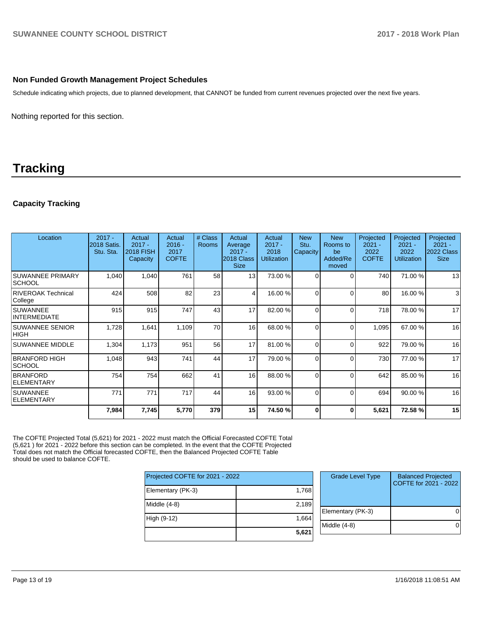## **Non Funded Growth Management Project Schedules**

Schedule indicating which projects, due to planned development, that CANNOT be funded from current revenues projected over the next five years.

Nothing reported for this section.

# **Tracking**

## **Capacity Tracking**

| Location                                 | $2017 -$<br><b>2018 Satis.</b><br>Stu. Sta. | Actual<br>$2017 -$<br><b>2018 FISH</b><br>Capacity | Actual<br>$2016 -$<br>2017<br><b>COFTE</b> | # Class<br><b>Rooms</b> | Actual<br>Average<br>$2017 -$<br>2018 Class<br><b>Size</b> | Actual<br>$2017 -$<br>2018<br><b>Utilization</b> | <b>New</b><br>Stu.<br>Capacity | <b>New</b><br>Rooms to<br>be<br>Added/Re<br>moved | Projected<br>$2021 -$<br>2022<br><b>COFTE</b> | Projected<br>$2021 -$<br>2022<br><b>Utilization</b> | Projected<br>$2021 -$<br>2022 Class<br><b>Size</b> |
|------------------------------------------|---------------------------------------------|----------------------------------------------------|--------------------------------------------|-------------------------|------------------------------------------------------------|--------------------------------------------------|--------------------------------|---------------------------------------------------|-----------------------------------------------|-----------------------------------------------------|----------------------------------------------------|
| <b>SUWANNEE PRIMARY</b><br><b>SCHOOL</b> | 1,040                                       | 1,040                                              | 761                                        | 58                      | 13                                                         | 73.00 %                                          | 0                              | $\Omega$                                          | 740                                           | 71.00 %                                             | 13                                                 |
| RIVEROAK Technical<br>College            | 424                                         | 508                                                | 82                                         | 23                      | $\overline{4}$                                             | 16.00 %                                          | $\Omega$                       | $\Omega$                                          | 80                                            | 16.00 %                                             | 3                                                  |
| ISUWANNEE<br><b>INTERMEDIATE</b>         | 915                                         | 915                                                | 747                                        | 43 <sub>1</sub>         | 17                                                         | 82.00 %                                          |                                | $\Omega$                                          | 718                                           | 78.00 %                                             | 17                                                 |
| <b>SUWANNEE SENIOR</b><br><b>HIGH</b>    | 1,728                                       | 1,641                                              | 1,109                                      | 70                      | 16                                                         | 68.00 %                                          | $\Omega$                       | $\Omega$                                          | 1,095                                         | 67.00 %                                             | 16                                                 |
| <b>SUWANNEE MIDDLE</b>                   | 1,304                                       | 1,173                                              | 951                                        | 56                      | 17                                                         | 81.00 %                                          | $\Omega$                       | $\Omega$                                          | 922                                           | 79.00 %                                             | 16                                                 |
| <b>BRANFORD HIGH</b><br><b>SCHOOL</b>    | 1,048                                       | 943                                                | 741                                        | 44                      | 17                                                         | 79.00 %                                          | $\Omega$                       | $\Omega$                                          | 730                                           | 77.00 %                                             | 17                                                 |
| <b>BRANFORD</b><br><b>ELEMENTARY</b>     | 754                                         | 754                                                | 662                                        | 41                      | 16                                                         | 88.00 %                                          | $\Omega$                       | $\Omega$                                          | 642                                           | 85.00 %                                             | 16                                                 |
| <b>SUWANNEE</b><br><b>ELEMENTARY</b>     | 771                                         | 771                                                | 717                                        | 44                      | 16                                                         | 93.00 %                                          | $\Omega$                       | $\Omega$                                          | 694                                           | 90.00 %                                             | 16                                                 |
|                                          | 7,984                                       | 7,745                                              | 5,770                                      | 379                     | 15                                                         | 74.50 %                                          | 0                              | O                                                 | 5,621                                         | 72.58 %                                             | 15                                                 |

The COFTE Projected Total (5,621) for 2021 - 2022 must match the Official Forecasted COFTE Total (5,621 ) for 2021 - 2022 before this section can be completed. In the event that the COFTE Projected Total does not match the Official forecasted COFTE, then the Balanced Projected COFTE Table should be used to balance COFTE.

| Projected COFTE for 2021 - 2022 |       | <b>Grade Level Type</b> | <b>Balanced Projected</b><br>COFTE for 2021 - 2022 |
|---------------------------------|-------|-------------------------|----------------------------------------------------|
| Elementary (PK-3)               | 1,768 |                         |                                                    |
| Middle $(4-8)$                  | 2,189 |                         |                                                    |
|                                 |       | Elementary (PK-3)       |                                                    |
| High (9-12)                     | 1.664 |                         |                                                    |
|                                 |       | Middle (4-8)            |                                                    |
|                                 | 5,621 |                         |                                                    |
|                                 |       |                         |                                                    |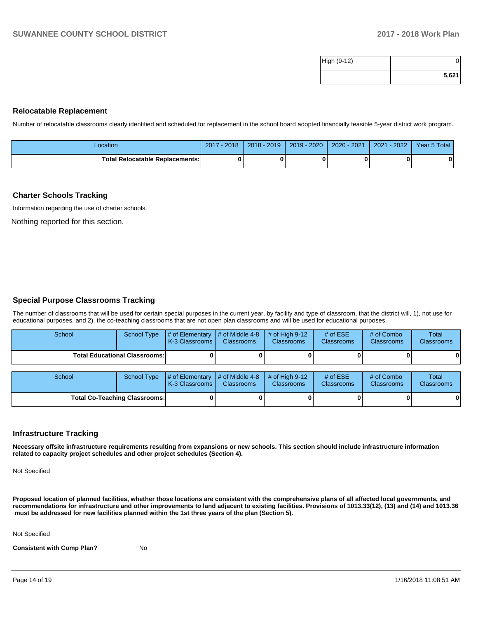| High (9-12) |       |
|-------------|-------|
|             | 5,621 |

### **Relocatable Replacement**

Number of relocatable classrooms clearly identified and scheduled for replacement in the school board adopted financially feasible 5-year district work program.

| Location                               | 2018<br>2017 | 2019<br>$2018 -$ | 2020<br>$2019 -$ | 2020 - 2021 | 2022<br>2021 | Year 5 Total |
|----------------------------------------|--------------|------------------|------------------|-------------|--------------|--------------|
| <b>Total Relocatable Replacements:</b> |              |                  |                  |             |              |              |

### **Charter Schools Tracking**

Information regarding the use of charter schools.

Nothing reported for this section.

### **Special Purpose Classrooms Tracking**

The number of classrooms that will be used for certain special purposes in the current year, by facility and type of classroom, that the district will, 1), not use for educational purposes, and 2), the co-teaching classrooms that are not open plan classrooms and will be used for educational purposes.

| School                               | School Type | $\parallel \#$ of Elementary $\parallel \#$ of Middle 4-8 $\parallel \#$ of High 9-12<br><b>K-3 Classrooms I</b> | Classrooms | <b>Classrooms</b> | # of $ESE$<br><b>Classrooms</b> | # of Combo<br><b>Classrooms</b> | Total<br><b>Classrooms</b> |
|--------------------------------------|-------------|------------------------------------------------------------------------------------------------------------------|------------|-------------------|---------------------------------|---------------------------------|----------------------------|
| <b>Total Educational Classrooms:</b> |             |                                                                                                                  |            |                   |                                 | 01                              |                            |

| School                               |  | School Type $\frac{1}{4}$ of Elementary $\frac{1}{4}$ of Middle 4-8 $\frac{1}{4}$ of High 9-12<br><b>K-3 Classrooms I</b> | <b>Classrooms</b> | <b>Classrooms</b> | # of $ESE$<br><b>Classrooms</b> | # of Combo<br><b>Classrooms</b> | Total<br><b>Classrooms</b> |
|--------------------------------------|--|---------------------------------------------------------------------------------------------------------------------------|-------------------|-------------------|---------------------------------|---------------------------------|----------------------------|
| <b>Total Co-Teaching Classrooms:</b> |  |                                                                                                                           |                   |                   |                                 | 0                               | 0                          |

### **Infrastructure Tracking**

**Necessary offsite infrastructure requirements resulting from expansions or new schools. This section should include infrastructure information related to capacity project schedules and other project schedules (Section 4).** 

Not Specified

**Proposed location of planned facilities, whether those locations are consistent with the comprehensive plans of all affected local governments, and recommendations for infrastructure and other improvements to land adjacent to existing facilities. Provisions of 1013.33(12), (13) and (14) and 1013.36** must be addressed for new facilities planned within the 1st three years of the plan (Section 5).

Not Specified

**Consistent with Comp Plan?** No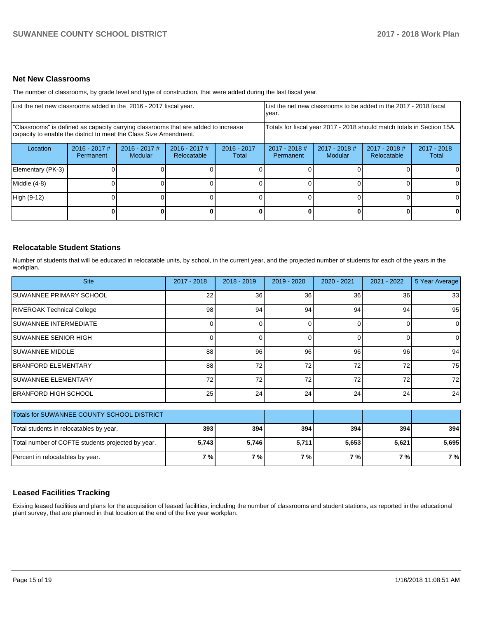## **Net New Classrooms**

The number of classrooms, by grade level and type of construction, that were added during the last fiscal year.

| List the net new classrooms added in the 2016 - 2017 fiscal year.                                                                                       | List the net new classrooms to be added in the 2017 - 2018 fiscal<br>year. |                            |                                |                        |                              |                                                                        |                                |                        |
|---------------------------------------------------------------------------------------------------------------------------------------------------------|----------------------------------------------------------------------------|----------------------------|--------------------------------|------------------------|------------------------------|------------------------------------------------------------------------|--------------------------------|------------------------|
| "Classrooms" is defined as capacity carrying classrooms that are added to increase<br>capacity to enable the district to meet the Class Size Amendment. |                                                                            |                            |                                |                        |                              | Totals for fiscal year 2017 - 2018 should match totals in Section 15A. |                                |                        |
| Location                                                                                                                                                | $2016 - 2017$ #<br>Permanent                                               | $2016 - 2017$ #<br>Modular | $2016 - 2017$ #<br>Relocatable | $2016 - 2017$<br>Total | $2017 - 2018$ #<br>Permanent | $2017 - 2018$ #<br>Modular                                             | $2017 - 2018$ #<br>Relocatable | $2017 - 2018$<br>Total |
| Elementary (PK-3)                                                                                                                                       |                                                                            |                            |                                |                        |                              |                                                                        |                                |                        |
| Middle (4-8)                                                                                                                                            |                                                                            |                            |                                |                        |                              |                                                                        |                                | ΩI                     |
| High (9-12)                                                                                                                                             |                                                                            |                            |                                |                        |                              |                                                                        |                                |                        |
|                                                                                                                                                         |                                                                            |                            |                                | 0                      |                              |                                                                        | 0                              | 0                      |

### **Relocatable Student Stations**

Number of students that will be educated in relocatable units, by school, in the current year, and the projected number of students for each of the years in the workplan.

| <b>Site</b>                       | 2017 - 2018     | 2018 - 2019 | 2019 - 2020 | $2020 - 2021$ | $2021 - 2022$ | 5 Year Average |
|-----------------------------------|-----------------|-------------|-------------|---------------|---------------|----------------|
| <b>SUWANNEE PRIMARY SCHOOL</b>    | 22              | 36          | 36          | 36            | 36            | 33             |
| <b>RIVEROAK Technical College</b> | 98              | 94          | 94          | 94            | 94            | 95             |
| <b>SUWANNEE INTERMEDIATE</b>      |                 |             |             |               |               | $\Omega$       |
| <b>ISUWANNEE SENIOR HIGH</b>      |                 |             |             |               |               | $\overline{0}$ |
| <b>SUWANNEE MIDDLE</b>            | 88              | 96          | 96          | 96            | 96            | 94             |
| BRANFORD ELEMENTARY               | 88              | 72          | 72          | 72            | 72            | 75             |
| <b>SUWANNEE ELEMENTARY</b>        | 72 <sub>1</sub> | 72          | 72          | 72            | 72            | 72             |
| <b>BRANFORD HIGH SCHOOL</b>       | 25 <sub>l</sub> | 24          | 24          | 24            | 24            | 24             |

| Totals for SUWANNEE COUNTY SCHOOL DISTRICT        |       |       |                    |       |       |       |
|---------------------------------------------------|-------|-------|--------------------|-------|-------|-------|
| Total students in relocatables by year.           | 393   | 394   | 394                | 394   | 394   | 394   |
| Total number of COFTE students projected by year. | 5,743 | 5.746 | 5,711              | 5,653 | 5,621 | 5,695 |
| Percent in relocatables by year.                  | 7 % l | 7 % l | $7\%$ <sub>1</sub> | 7%1   | 7 % I | 7 %   |

## **Leased Facilities Tracking**

Exising leased facilities and plans for the acquisition of leased facilities, including the number of classrooms and student stations, as reported in the educational plant survey, that are planned in that location at the end of the five year workplan.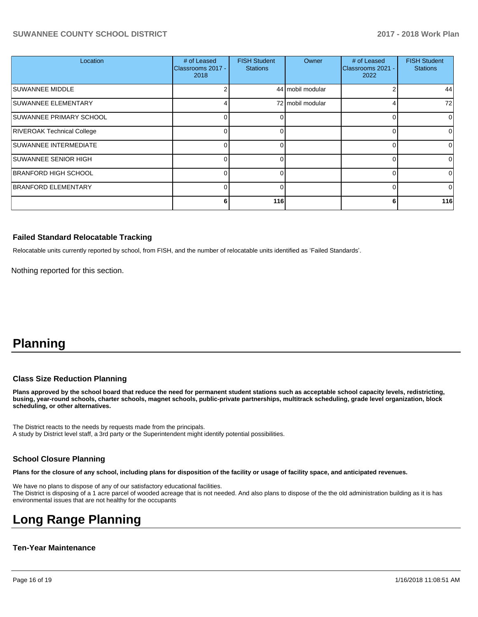| Location                          | # of Leased<br>Classrooms 2017 -<br>2018 | <b>FISH Student</b><br><b>Stations</b> | Owner            | # of Leased<br>Classrooms 2021 -<br>2022 | <b>FISH Student</b><br><b>Stations</b> |
|-----------------------------------|------------------------------------------|----------------------------------------|------------------|------------------------------------------|----------------------------------------|
| <b>SUWANNEE MIDDLE</b>            |                                          |                                        | 44 mobil modular |                                          | 44                                     |
| <b>SUWANNEE ELEMENTARY</b>        |                                          |                                        | 72 mobil modular |                                          | 72                                     |
| SUWANNEE PRIMARY SCHOOL           | 0                                        | 0                                      |                  |                                          | 0                                      |
| <b>RIVEROAK Technical College</b> | $\Omega$                                 |                                        |                  |                                          | $\Omega$                               |
| SUWANNEE INTERMEDIATE             | $\Omega$                                 | O                                      |                  |                                          | 0                                      |
| <b>SUWANNEE SENIOR HIGH</b>       | $\Omega$                                 | 0                                      |                  |                                          | $\Omega$                               |
| BRANFORD HIGH SCHOOL              | $\Omega$                                 | U                                      |                  |                                          | $\Omega$                               |
| <b>BRANFORD ELEMENTARY</b>        | $\Omega$                                 | n                                      |                  |                                          | $\Omega$                               |
|                                   | 61                                       | 116                                    |                  | 6                                        | 116                                    |

### **Failed Standard Relocatable Tracking**

Relocatable units currently reported by school, from FISH, and the number of relocatable units identified as 'Failed Standards'.

Nothing reported for this section.

# **Planning**

### **Class Size Reduction Planning**

**Plans approved by the school board that reduce the need for permanent student stations such as acceptable school capacity levels, redistricting, busing, year-round schools, charter schools, magnet schools, public-private partnerships, multitrack scheduling, grade level organization, block scheduling, or other alternatives.**

The District reacts to the needs by requests made from the principals. A study by District level staff, a 3rd party or the Superintendent might identify potential possibilities.

### **School Closure Planning**

**Plans for the closure of any school, including plans for disposition of the facility or usage of facility space, and anticipated revenues.** 

We have no plans to dispose of any of our satisfactory educational facilities. The District is disposing of a 1 acre parcel of wooded acreage that is not needed. And also plans to dispose of the the old administration building as it is has environmental issues that are not healthy for the occupants

# **Long Range Planning**

### **Ten-Year Maintenance**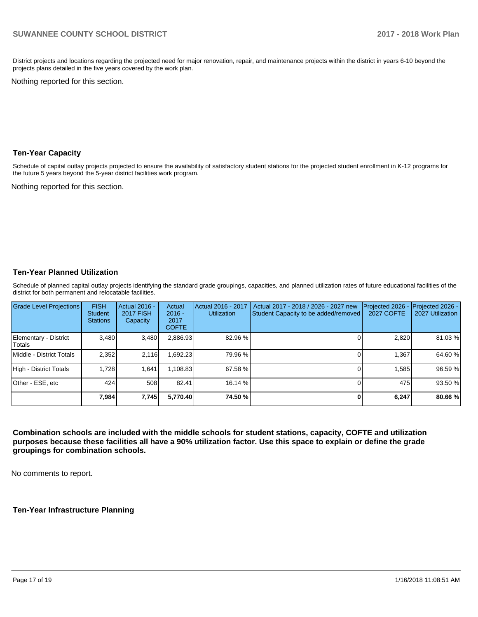District projects and locations regarding the projected need for major renovation, repair, and maintenance projects within the district in years 6-10 beyond the projects plans detailed in the five years covered by the work plan.

Nothing reported for this section.

### **Ten-Year Capacity**

Schedule of capital outlay projects projected to ensure the availability of satisfactory student stations for the projected student enrollment in K-12 programs for the future 5 years beyond the 5-year district facilities work program.

Nothing reported for this section.

## **Ten-Year Planned Utilization**

Schedule of planned capital outlay projects identifying the standard grade groupings, capacities, and planned utilization rates of future educational facilities of the district for both permanent and relocatable facilities.

| <b>Grade Level Projections</b>  | <b>FISH</b><br><b>Student</b><br><b>Stations</b> | Actual 2016 -<br><b>2017 FISH</b><br>Capacity | Actual<br>$2016 -$<br>2017<br><b>COFTE</b> | Actual 2016 - 2017<br><b>Utilization</b> | Actual 2017 - 2018 / 2026 - 2027 new<br>Student Capacity to be added/removed | Projected 2026<br><b>2027 COFTE</b> | Projected 2026 -<br>2027 Utilization |
|---------------------------------|--------------------------------------------------|-----------------------------------------------|--------------------------------------------|------------------------------------------|------------------------------------------------------------------------------|-------------------------------------|--------------------------------------|
| Elementary - District<br>Totals | 3.480                                            | 3,480                                         | 2,886.93                                   | 82.96 %                                  |                                                                              | 2,820                               | 81.03%                               |
| Middle - District Totals        | 2.352                                            | 2.116                                         | .692.23                                    | 79.96 %                                  |                                                                              | 1.367                               | 64.60%                               |
| High - District Totals          | 1.728                                            | 1,641                                         | 1,108.83                                   | 67.58 %                                  |                                                                              | 1,585                               | 96.59 %                              |
| Other - ESE, etc                | 424                                              | 508                                           | 82.41                                      | 16.14 %                                  |                                                                              | 475                                 | 93.50 %                              |
|                                 | 7,984                                            | 7,745                                         | 5,770.40                                   | 74.50 %                                  |                                                                              | 6,247                               | 80.66 %                              |

**Combination schools are included with the middle schools for student stations, capacity, COFTE and utilization purposes because these facilities all have a 90% utilization factor. Use this space to explain or define the grade groupings for combination schools.** 

No comments to report.

**Ten-Year Infrastructure Planning**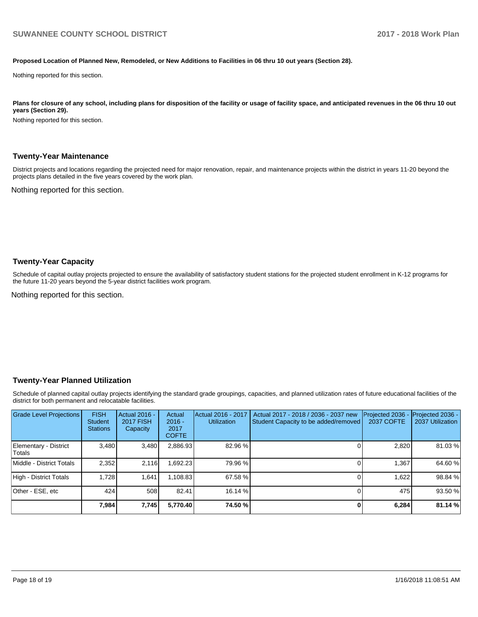#### **Proposed Location of Planned New, Remodeled, or New Additions to Facilities in 06 thru 10 out years (Section 28).**

Nothing reported for this section.

Plans for closure of any school, including plans for disposition of the facility or usage of facility space, and anticipated revenues in the 06 thru 10 out **years (Section 29).**

Nothing reported for this section.

### **Twenty-Year Maintenance**

District projects and locations regarding the projected need for major renovation, repair, and maintenance projects within the district in years 11-20 beyond the projects plans detailed in the five years covered by the work plan.

Nothing reported for this section.

### **Twenty-Year Capacity**

Schedule of capital outlay projects projected to ensure the availability of satisfactory student stations for the projected student enrollment in K-12 programs for the future 11-20 years beyond the 5-year district facilities work program.

Nothing reported for this section.

### **Twenty-Year Planned Utilization**

Schedule of planned capital outlay projects identifying the standard grade groupings, capacities, and planned utilization rates of future educational facilities of the district for both permanent and relocatable facilities.

| <b>Grade Level Projections</b>   | <b>FISH</b><br><b>Student</b><br><b>Stations</b> | <b>Actual 2016 -</b><br><b>2017 FISH</b><br>Capacity | Actual<br>$2016 -$<br>2017<br><b>COFTE</b> | Actual 2016 - 2017<br><b>Utilization</b> | Actual 2017 - 2018 / 2036 - 2037 new<br>Student Capacity to be added/removed | Projected 2036<br><b>2037 COFTE</b> | <b>Projected 2036 -</b><br>2037 Utilization |
|----------------------------------|--------------------------------------------------|------------------------------------------------------|--------------------------------------------|------------------------------------------|------------------------------------------------------------------------------|-------------------------------------|---------------------------------------------|
| Elementary - District<br> Totals | 3.480                                            | 3,480                                                | 2,886.93                                   | 82.96 %                                  |                                                                              | 2,820                               | 81.03%                                      |
| Middle - District Totals         | 2.352                                            | 2.116                                                | .692.23                                    | 79.96 %                                  |                                                                              | 1.367                               | 64.60%                                      |
| High - District Totals           | 1.728                                            | 1.641                                                | 1.108.83                                   | 67.58 %                                  |                                                                              | 1.622                               | 98.84 %                                     |
| Other - ESE, etc                 | 424                                              | 508                                                  | 82.41                                      | 16.14 %                                  |                                                                              | 475 <b>I</b>                        | 93.50 %                                     |
|                                  | 7,984                                            | 7,745                                                | 5,770.40                                   | 74.50 %                                  |                                                                              | 6,284                               | 81.14 %                                     |